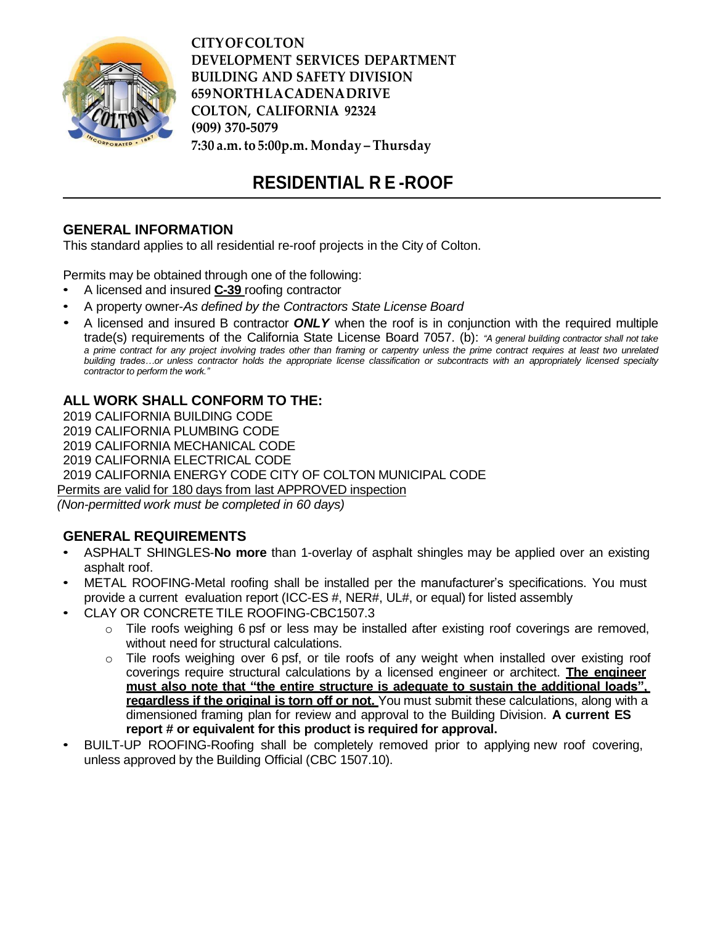

**CITYOFCOLTON DEVELOPMENT SERVICES DEPARTMENT BUILDING AND SAFETY DIVISION 659NORTHLACADENADRIVE COLTON, CALIFORNIA 92324 (909) 370-5079 7:30 a.m. to 5:00p.m. Monday – Thursday**

# **RESIDENTIAL R E -ROOF**

## **GENERAL INFORMATION**

This standard applies to all residential re-roof projects in the City of Colton.

Permits may be obtained through one of the following:

- A licensed and insured **C-39** roofing contractor
- A property owner-*As defined by the Contractors State License Board*
- A licensed and insured B contractor *ONLY* when the roof is in conjunction with the required multiple trade(s) requirements of the California State License Board 7057. (b): *"A general building contractor shall not take* a prime contract for any project involving trades other than framing or carpentry unless the prime contract requires at least two unrelated building trades...or unless contractor holds the appropriate license classification or subcontracts with an appropriately licensed specialty *contractor to perform the work."*

## **ALL WORK SHALL CONFORM TO THE:**

 CALIFORNIA BUILDING CODE CALIFORNIA PLUMBING CODE CALIFORNIA MECHANICAL CODE CALIFORNIA ELECTRICAL CODE CALIFORNIA ENERGY CODE CITY OF COLTON MUNICIPAL CODE Permits are valid for 180 days from last APPROVED inspection *(Non-permitted work must be completed in 60 days)*

### **GENERAL REQUIREMENTS**

- ASPHALT SHINGLES-**No more** than 1-overlay of asphalt shingles may be applied over an existing asphalt roof.
- METAL ROOFING-Metal roofing shall be installed per the manufacturer's specifications. You must provide a current evaluation report (ICC-ES #, NER#, UL#, or equal) for listed assembly
- CLAY OR CONCRETE TILE ROOFING-CBC1507.3
	- $\circ$  Tile roofs weighing 6 psf or less may be installed after existing roof coverings are removed, without need for structural calculations.
	- $\circ$  Tile roofs weighing over 6 psf, or tile roofs of any weight when installed over existing roof coverings require structural calculations by a licensed engineer or architect. **The engineer must also note that "the entire structure is adequate to sustain the additional loads", regardless if the original is torn off or not.** You must submit these calculations, along with a dimensioned framing plan for review and approval to the Building Division. **A current ES report # or equivalent for this product is required for approval.**
- BUILT-UP ROOFING-Roofing shall be completely removed prior to applying new roof covering, unless approved by the Building Official (CBC 1507.10).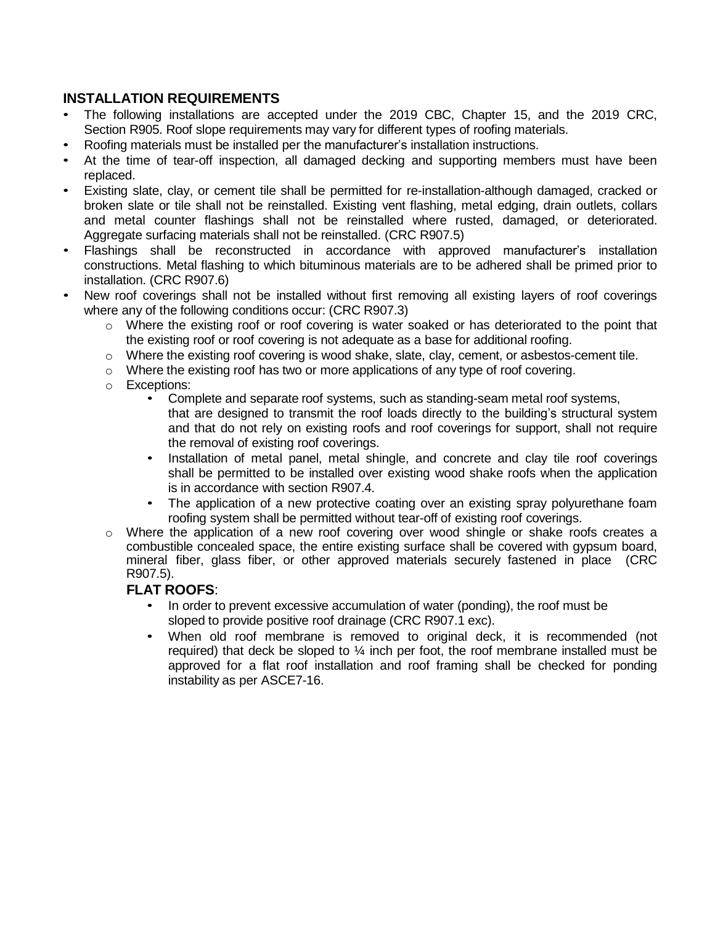## **INSTALLATION REQUIREMENTS**

- The following installations are accepted under the 2019 CBC, Chapter 15, and the 2019 CRC, Section R905. Roof slope requirements may vary for different types of roofing materials.
- Roofing materials must be installed per the manufacturer's installation instructions.
- At the time of tear-off inspection, all damaged decking and supporting members must have been replaced.
- Existing slate, clay, or cement tile shall be permitted for re-installation-although damaged, cracked or broken slate or tile shall not be reinstalled. Existing vent flashing, metal edging, drain outlets, collars and metal counter flashings shall not be reinstalled where rusted, damaged, or deteriorated. Aggregate surfacing materials shall not be reinstalled. (CRC R907.5)
- Flashings shall be reconstructed in accordance with approved manufacturer's installation constructions. Metal flashing to which bituminous materials are to be adhered shall be primed prior to installation. (CRC R907.6)
- New roof coverings shall not be installed without first removing all existing layers of roof coverings where any of the following conditions occur: (CRC R907.3)
	- $\circ$  Where the existing roof or roof covering is water soaked or has deteriorated to the point that the existing roof or roof covering is not adequate as a base for additional roofing.
	- $\circ$  Where the existing roof covering is wood shake, slate, clay, cement, or asbestos-cement tile.
	- $\circ$  Where the existing roof has two or more applications of any type of roof covering.
	- o Exceptions:
		- Complete and separate roof systems, such as standing-seam metal roof systems, that are designed to transmit the roof loads directly to the building's structural system and that do not rely on existing roofs and roof coverings for support, shall not require the removal of existing roof coverings.
		- Installation of metal panel, metal shingle, and concrete and clay tile roof coverings shall be permitted to be installed over existing wood shake roofs when the application is in accordance with section R907.4.
		- The application of a new protective coating over an existing spray polyurethane foam roofing system shall be permitted without tear-off of existing roof coverings.
	- $\circ$  Where the application of a new roof covering over wood shingle or shake roofs creates a combustible concealed space, the entire existing surface shall be covered with gypsum board, mineral fiber, glass fiber, or other approved materials securely fastened in place (CRC R907.5).

### **FLAT ROOFS**:

- In order to prevent excessive accumulation of water (ponding), the roof must be sloped to provide positive roof drainage (CRC R907.1 exc).
- When old roof membrane is removed to original deck, it is recommended (not required) that deck be sloped to  $\frac{1}{4}$  inch per foot, the roof membrane installed must be approved for a flat roof installation and roof framing shall be checked for ponding instability as per ASCE7-16.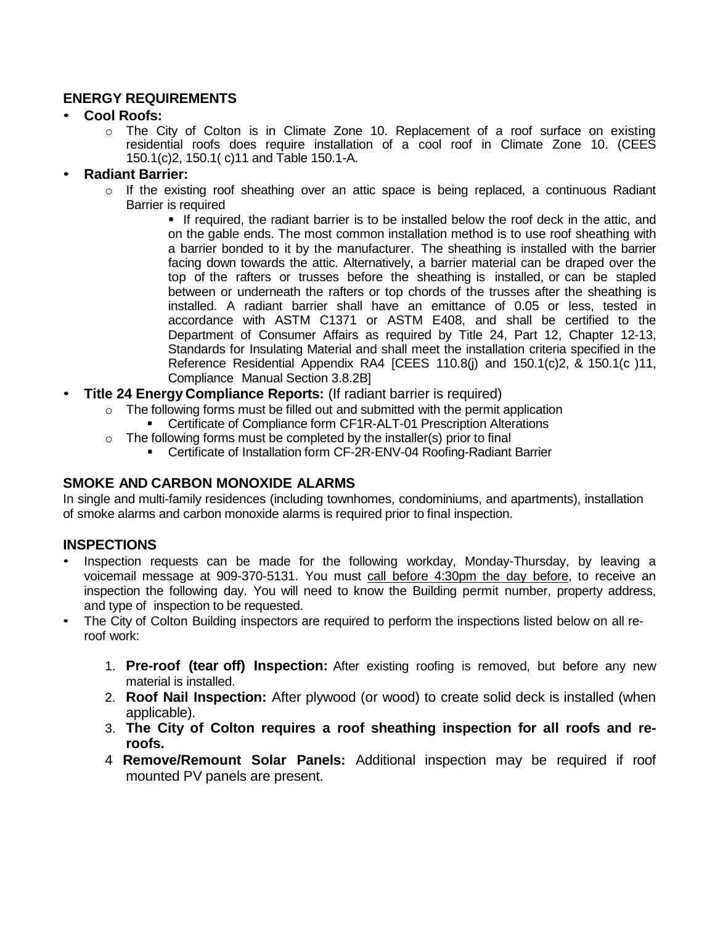## **ENERGY REQUIREMENTS**

## • **Cool Roofs:**

 $\circ$  The City of Colton is in Climate Zone 10. Replacement of a roof surface on existing residential roofs does require installation of a cool roof in Climate Zone 10. (CEES 150.1(c)2, 150.1( c)11 and Table 150.1-A.

## • **Radiant Barrier:**

- $\circ$  If the existing roof sheathing over an attic space is being replaced, a continuous Radiant Barrier is required
	- If required, the radiant barrier is to be installed below the roof deck in the attic, and on the gable ends. The most common installation method is to use roof sheathing with a barrier bonded to it by the manufacturer. The sheathing is installed with the barrier facing down towards the attic. Alternatively, a barrier material can be draped over the top of the rafters or trusses before the sheathing is installed, or can be stapled between or underneath the rafters or top chords of the trusses after the sheathing is installed. A radiant barrier shall have an emittance of 0.05 or less, tested in accordance with ASTM C1371 or ASTM E408, and shall be certified to the Department of Consumer Affairs as required by Title 24, Part 12, Chapter 12-13, Standards for Insulating Material and shall meet the installation criteria specified in the Reference Residential Appendix RA4 [CEES 110.8(j) and 150.1(c)2, & 150.1(c )11, Compliance Manual Section 3.8.2B]
- **Title 24 Energy Compliance Reports:** (If radiant barrier is required)
	- $\circ$  The following forms must be filled out and submitted with the permit application Certificate of Compliance form CF1R-ALT-01 Prescription Alterations
	- $\circ$  The following forms must be completed by the installer(s) prior to final
		- Certificate of Installation form CF-2R-ENV-04 Roofing-Radiant Barrier

### **SMOKE AND CARBON MONOXIDE ALARMS**

In single and multi-family residences (including townhomes, condominiums, and apartments), installation of smoke alarms and carbon monoxide alarms is required prior to final inspection.

## **INSPECTIONS**

- Inspection requests can be made for the following workday, Monday-Thursday, by leaving a voicemail message at 909-370-5131. You must call before 4:30pm the day before, to receive an inspection the following day. You will need to know the Building permit number, property address, and type of inspection to be requested.
- The City of Colton Building inspectors are required to perform the inspections listed below on all reroof work:
	- 1. **Pre-roof (tear off) Inspection:** After existing roofing is removed, but before any new material is installed.
	- 2. **Roof Nail Inspection:** After plywood (or wood) to create solid deck is installed (when applicable).
	- 3. **The City of Colton requires a roof sheathing inspection for all roofs and reroofs.**
	- 4 **Remove/Remount Solar Panels:** Additional inspection may be required if roof mounted PV panels are present.